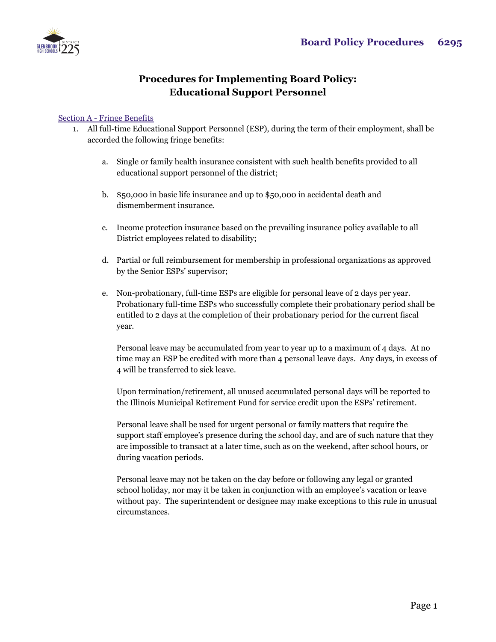

## **Procedures for Implementing Board Policy: Educational Support Personnel**

## Section A - Fringe Benefits

- 1. All full-time Educational Support Personnel (ESP), during the term of their employment, shall be accorded the following fringe benefits:
	- a. Single or family health insurance consistent with such health benefits provided to all educational support personnel of the district;
	- b. \$50,000 in basic life insurance and up to \$50,000 in accidental death and dismemberment insurance.
	- c. Income protection insurance based on the prevailing insurance policy available to all District employees related to disability;
	- d. Partial or full reimbursement for membership in professional organizations as approved by the Senior ESPs' supervisor;
	- e. Non-probationary, full-time ESPs are eligible for personal leave of 2 days per year. Probationary full-time ESPs who successfully complete their probationary period shall be entitled to 2 days at the completion of their probationary period for the current fiscal year.

Personal leave may be accumulated from year to year up to a maximum of 4 days. At no time may an ESP be credited with more than 4 personal leave days. Any days, in excess of 4 will be transferred to sick leave.

Upon termination/retirement, all unused accumulated personal days will be reported to the Illinois Municipal Retirement Fund for service credit upon the ESPs' retirement.

Personal leave shall be used for urgent personal or family matters that require the support staff employee's presence during the school day, and are of such nature that they are impossible to transact at a later time, such as on the weekend, after school hours, or during vacation periods.

Personal leave may not be taken on the day before or following any legal or granted school holiday, nor may it be taken in conjunction with an employee's vacation or leave without pay. The superintendent or designee may make exceptions to this rule in unusual circumstances.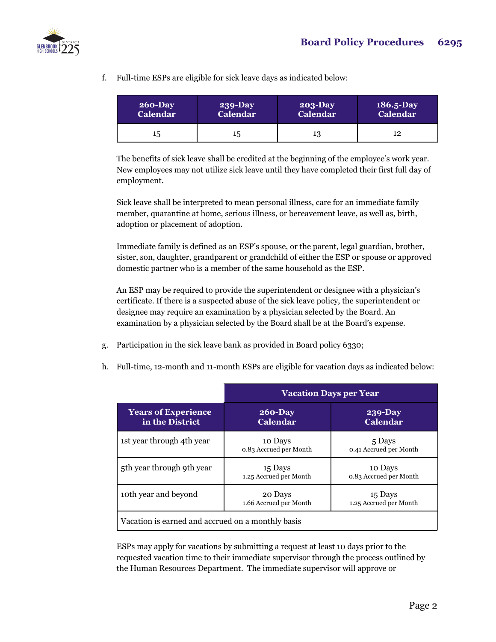

f. Full-time ESPs are eligible for sick leave days as indicated below:

| $260 - Day$     | <b>239-Day</b>  | $203-Day$       | $186.5 - Day$   |
|-----------------|-----------------|-----------------|-----------------|
| <b>Calendar</b> | <b>Calendar</b> | <b>Calendar</b> | <b>Calendar</b> |
| 15              | 15              | 13              | 12              |

The benefits of sick leave shall be credited at the beginning of the employee's work year. New employees may not utilize sick leave until they have completed their first full day of employment.

Sick leave shall be interpreted to mean personal illness, care for an immediate family member, quarantine at home, serious illness, or bereavement leave, as well as, birth, adoption or placement of adoption.

Immediate family is defined as an ESP's spouse, or the parent, legal guardian, brother, sister, son, daughter, grandparent or grandchild of either the ESP or spouse or approved domestic partner who is a member of the same household as the ESP.

An ESP may be required to provide the superintendent or designee with a physician's certificate. If there is a suspected abuse of the sick leave policy, the superintendent or designee may require an examination by a physician selected by the Board. An examination by a physician selected by the Board shall be at the Board's expense.

- g. Participation in the sick leave bank as provided in Board policy 6330;
- h. Full-time, 12-month and 11-month ESPs are eligible for vacation days as indicated below:

|                                                   | <b>Vacation Days per Year</b>     |                                   |  |  |
|---------------------------------------------------|-----------------------------------|-----------------------------------|--|--|
| <b>Years of Experience</b><br>in the District     | $260 - Day$<br><b>Calendar</b>    | $239-Day$<br><b>Calendar</b>      |  |  |
| 1st year through 4th year                         | 10 Days<br>0.83 Accrued per Month | 5 Days<br>0.41 Accrued per Month  |  |  |
| 5th year through 9th year                         | 15 Days<br>1.25 Accrued per Month | 10 Days<br>0.83 Accrued per Month |  |  |
| 10th year and beyond                              | 20 Days<br>1.66 Accrued per Month | 15 Days<br>1.25 Accrued per Month |  |  |
| Vacation is earned and accrued on a monthly basis |                                   |                                   |  |  |

ESPs may apply for vacations by submitting a request at least 10 days prior to the requested vacation time to their immediate supervisor through the process outlined by the Human Resources Department. The immediate supervisor will approve or